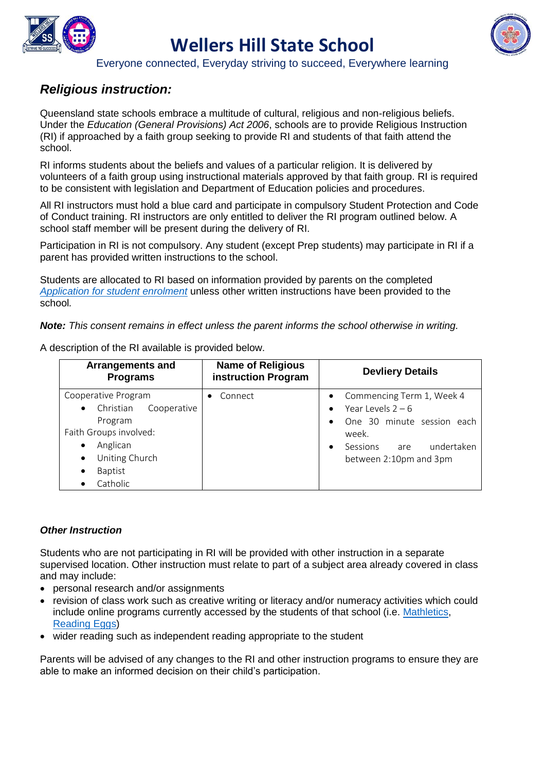

# **Wellers Hill State School**



Everyone connected, Everyday striving to succeed, Everywhere learning

### *Religious instruction:*

Queensland state schools embrace a multitude of cultural, religious and non-religious beliefs. Under the *Education (General Provisions) Act 2006*, schools are to provide Religious Instruction (RI) if approached by a faith group seeking to provide RI and students of that faith attend the school.

RI informs students about the beliefs and values of a particular religion. It is delivered by volunteers of a faith group using instructional materials approved by that faith group. RI is required to be consistent with legislation and Department of Education policies and procedures.

All RI instructors must hold a blue card and participate in compulsory Student Protection and Code of Conduct training. RI instructors are only entitled to deliver the RI program outlined below. A school staff member will be present during the delivery of RI.

Participation in RI is not compulsory. Any student (except Prep students) may participate in RI if a parent has provided written instructions to the school.

Students are allocated to RI based on information provided by parents on the completed *[Application for student enrolment](http://ppr.det.qld.gov.au/education/management/Pages/Enrolment-in-State-Primary,-Secondary-and-Special-Schools.aspx)* unless other written instructions have been provided to the school*.*

*Note: This consent remains in effect unless the parent informs the school otherwise in writing.*

A description of the RI available is provided below.

| <b>Arrangements and</b><br><b>Programs</b>                                                                                                                       | <b>Name of Religious</b><br>instruction Program | <b>Devliery Details</b>                                                                                                                            |
|------------------------------------------------------------------------------------------------------------------------------------------------------------------|-------------------------------------------------|----------------------------------------------------------------------------------------------------------------------------------------------------|
| Cooperative Program<br>Christian Cooperative<br>$\bullet$<br>Program<br>Faith Groups involved:<br>Anglican<br>Uniting Church<br>$\bullet$<br>Baptist<br>Catholic | Connect                                         | Commencing Term 1, Week 4<br>Year Levels $2 - 6$<br>One 30 minute session each<br>week.<br>undertaken<br>Sessions<br>are<br>between 2:10pm and 3pm |

#### *Other Instruction*

Students who are not participating in RI will be provided with other instruction in a separate supervised location. Other instruction must relate to part of a subject area already covered in class and may include:

- personal research and/or assignments
- revision of class work such as creative writing or literacy and/or numeracy activities which could include online programs currently accessed by the students of that school (i.e. [Mathletics,](http://www.mathletics.com.au/) [Reading Eggs\)](http://readingeggs.com.au/)
- wider reading such as independent reading appropriate to the student

Parents will be advised of any changes to the RI and other instruction programs to ensure they are able to make an informed decision on their child's participation.